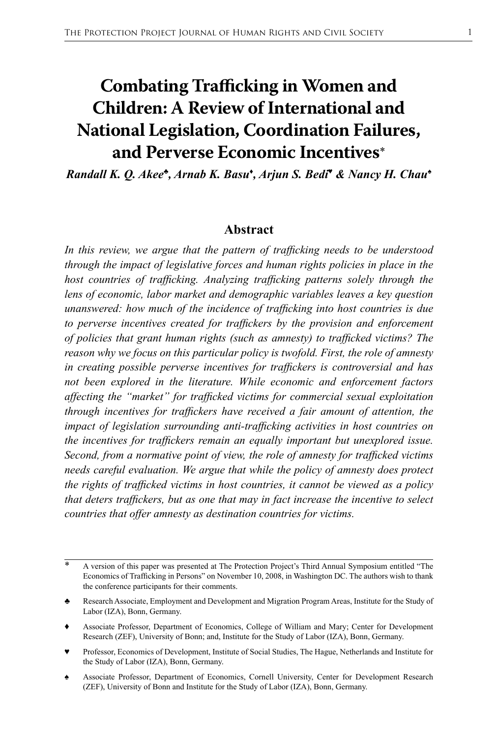# **Combating Trafficking in Women and Children: A Review of International and National Legislation, Coordination Failures, and Perverse Economic Incentives**\*

*Randall K. Q. Akee♣, Arnab K. Basu♦ , Arjun S. Bedi♥ & Nancy H. Chau♠*

#### **Abstract**

*In this review, we argue that the pattern of trafficking needs to be understood through the impact of legislative forces and human rights policies in place in the host countries of trafficking. Analyzing trafficking patterns solely through the*  lens of economic, labor market and demographic variables leaves a key question *unanswered: how much of the incidence of trafficking into host countries is due to perverse incentives created for traffickers by the provision and enforcement of policies that grant human rights (such as amnesty) to trafficked victims? The reason why we focus on this particular policy is twofold. First, the role of amnesty in creating possible perverse incentives for traffickers is controversial and has not been explored in the literature. While economic and enforcement factors affecting the "market" for trafficked victims for commercial sexual exploitation through incentives for traffickers have received a fair amount of attention, the impact of legislation surrounding anti-trafficking activities in host countries on the incentives for traffickers remain an equally important but unexplored issue. Second, from a normative point of view, the role of amnesty for trafficked victims needs careful evaluation. We argue that while the policy of amnesty does protect the rights of trafficked victims in host countries, it cannot be viewed as a policy that deters traffickers, but as one that may in fact increase the incentive to select countries that offer amnesty as destination countries for victims.*

Professor, Economics of Development, Institute of Social Studies, The Hague, Netherlands and Institute for the Study of Labor (IZA), Bonn, Germany.

A version of this paper was presented at The Protection Project's Third Annual Symposium entitled "The Economics of Trafficking in Persons" on November 10, 2008, in Washington DC. The authors wish to thank the conference participants for their comments.

<sup>♣</sup> Research Associate, Employment and Development and Migration Program Areas, Institute for the Study of Labor (IZA), Bonn, Germany.

*<sup>♦</sup>* Associate Professor, Department of Economics, College of William and Mary; Center for Development Research (ZEF), University of Bonn; and, Institute for the Study of Labor (IZA), Bonn, Germany.

<sup>♠</sup> Associate Professor, Department of Economics, Cornell University, Center for Development Research (ZEF), University of Bonn and Institute for the Study of Labor (IZA), Bonn, Germany.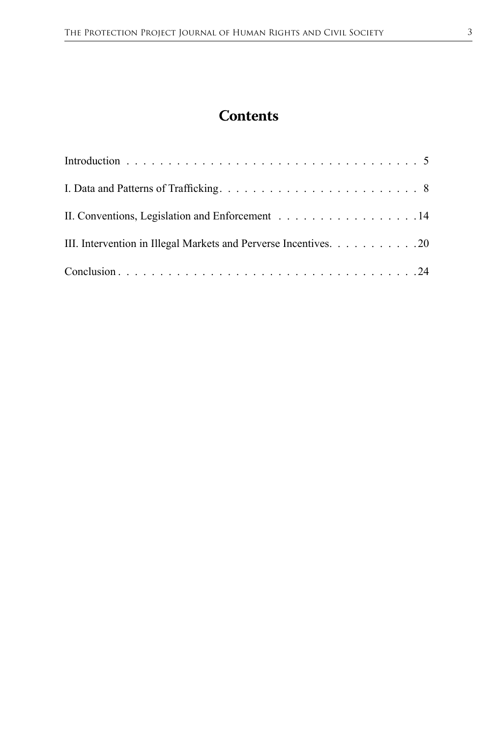# **Contents**

| II. Conventions, Legislation and Enforcement 14                  |
|------------------------------------------------------------------|
| III. Intervention in Illegal Markets and Perverse Incentives. 20 |
|                                                                  |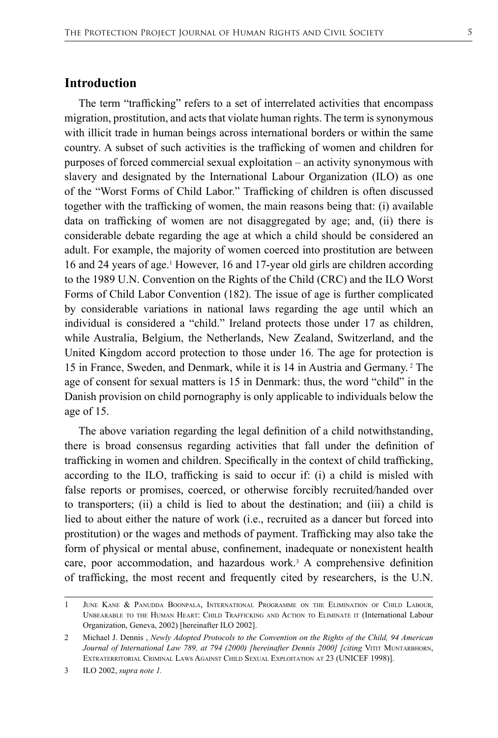#### **Introduction**

The term "trafficking" refers to a set of interrelated activities that encompass migration, prostitution, and acts that violate human rights. The term is synonymous with illicit trade in human beings across international borders or within the same country. A subset of such activities is the trafficking of women and children for purposes of forced commercial sexual exploitation – an activity synonymous with slavery and designated by the International Labour Organization (ILO) as one of the "Worst Forms of Child Labor." Trafficking of children is often discussed together with the trafficking of women, the main reasons being that: (i) available data on trafficking of women are not disaggregated by age; and, (ii) there is considerable debate regarding the age at which a child should be considered an adult. For example, the majority of women coerced into prostitution are between 16 and 24 years of age.1 However, 16 and 17-year old girls are children according to the 1989 U.N. Convention on the Rights of the Child (CRC) and the ILO Worst Forms of Child Labor Convention (182). The issue of age is further complicated by considerable variations in national laws regarding the age until which an individual is considered a "child." Ireland protects those under 17 as children, while Australia, Belgium, the Netherlands, New Zealand, Switzerland, and the United Kingdom accord protection to those under 16. The age for protection is 15 in France, Sweden, and Denmark, while it is 14 in Austria and Germany. <sup>2</sup> The age of consent for sexual matters is 15 in Denmark: thus, the word "child" in the Danish provision on child pornography is only applicable to individuals below the age of 15.

The above variation regarding the legal definition of a child notwithstanding, there is broad consensus regarding activities that fall under the definition of trafficking in women and children. Specifically in the context of child trafficking, according to the ILO, trafficking is said to occur if: (i) a child is misled with false reports or promises, coerced, or otherwise forcibly recruited/handed over to transporters; (ii) a child is lied to about the destination; and (iii) a child is lied to about either the nature of work (i.e., recruited as a dancer but forced into prostitution) or the wages and methods of payment. Trafficking may also take the form of physical or mental abuse, confinement, inadequate or nonexistent health care, poor accommodation, and hazardous work.<sup>3</sup> A comprehensive definition of trafficking, the most recent and frequently cited by researchers, is the U.N.

<sup>1</sup> June Kane & Panudda Boonpala, International Programme on the Elimination of Child Labour, Unbearable to the Human Heart: Child Trafficking and Action to Eliminate it (International Labour Organization, Geneva, 2002) [hereinafter ILO 2002].

<sup>2</sup> Michael J. Dennis , *Newly Adopted Protocols to the Convention on the Rights of the Child, 94 American Journal of International Law 789, at 794 (2000) [hereinafter Dennis 2000] [citing VITIT MUNTARBHORN,* EXTRATERRITORIAL CRIMINAL LAWS AGAINST CHILD SEXUAL EXPLOITATION AT 23 (UNICEF 1998)].

<sup>3</sup> ILO 2002, *supra note 1.*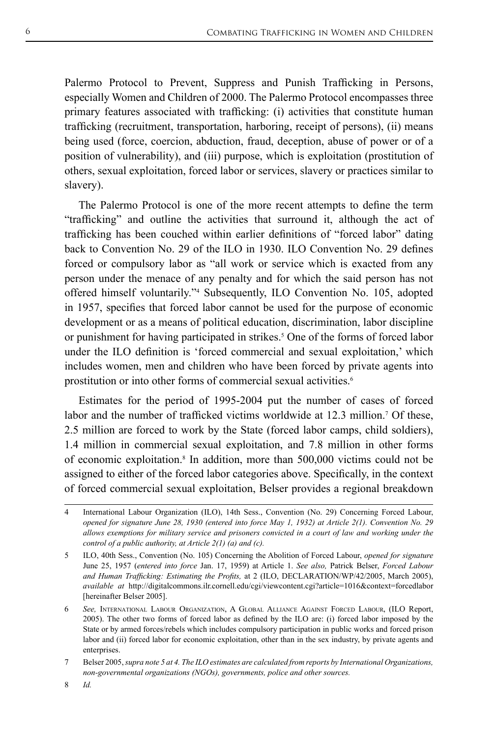Palermo Protocol to Prevent, Suppress and Punish Trafficking in Persons, especially Women and Children of 2000. The Palermo Protocol encompasses three primary features associated with trafficking: (i) activities that constitute human trafficking (recruitment, transportation, harboring, receipt of persons), (ii) means being used (force, coercion, abduction, fraud, deception, abuse of power or of a position of vulnerability), and (iii) purpose, which is exploitation (prostitution of others, sexual exploitation, forced labor or services, slavery or practices similar to slavery).

The Palermo Protocol is one of the more recent attempts to define the term "trafficking" and outline the activities that surround it, although the act of trafficking has been couched within earlier definitions of "forced labor" dating back to Convention No. 29 of the ILO in 1930. ILO Convention No. 29 defines forced or compulsory labor as "all work or service which is exacted from any person under the menace of any penalty and for which the said person has not offered himself voluntarily."<sup>4</sup> Subsequently, ILO Convention No. 105, adopted in 1957, specifies that forced labor cannot be used for the purpose of economic development or as a means of political education, discrimination, labor discipline or punishment for having participated in strikes.<sup>5</sup> One of the forms of forced labor under the ILO definition is 'forced commercial and sexual exploitation,' which includes women, men and children who have been forced by private agents into prostitution or into other forms of commercial sexual activities.<sup>6</sup>

Estimates for the period of 1995-2004 put the number of cases of forced labor and the number of trafficked victims worldwide at 12.3 million.<sup>7</sup> Of these, 2.5 million are forced to work by the State (forced labor camps, child soldiers), 1.4 million in commercial sexual exploitation, and 7.8 million in other forms of economic exploitation.<sup>8</sup> In addition, more than 500,000 victims could not be assigned to either of the forced labor categories above. Specifically, in the context of forced commercial sexual exploitation, Belser provides a regional breakdown

International Labour Organization (ILO), 14th Sess., Convention (No. 29) Concerning Forced Labour, *opened for signature June 28, 1930 (entered into force May 1, 1932) at Article 2(1). Convention No. 29 allows exemptions for military service and prisoners convicted in a court of law and working under the control of a public authority, at Article 2(1) (a) and (c).*

<sup>5</sup> ILO, 40th Sess., Convention (No. 105) Concerning the Abolition of Forced Labour, *opened for signature*  June 25, 1957 (*entered into force* Jan. 17, 1959) at Article 1. *See also,* Patrick Belser, *Forced Labour and Human Trafficking: Estimating the Profits,* at 2 (ILO, DECLARATION/WP/42/2005, March 2005), *available at* http://digitalcommons.ilr.cornell.edu/cgi/viewcontent.cgi?article=1016&context=forcedlabor [hereinafter Belser 2005].

<sup>6</sup> *See,* International Labour Organization, A Global Alliance Against Forced Labour, (ILO Report, 2005). The other two forms of forced labor as defined by the ILO are: (i) forced labor imposed by the State or by armed forces/rebels which includes compulsory participation in public works and forced prison labor and (ii) forced labor for economic exploitation, other than in the sex industry, by private agents and enterprises.

<sup>7</sup> Belser 2005, *supra note 5 at 4. The ILO estimates are calculated from reports by International Organizations, non-governmental organizations (NGOs), governments, police and other sources.*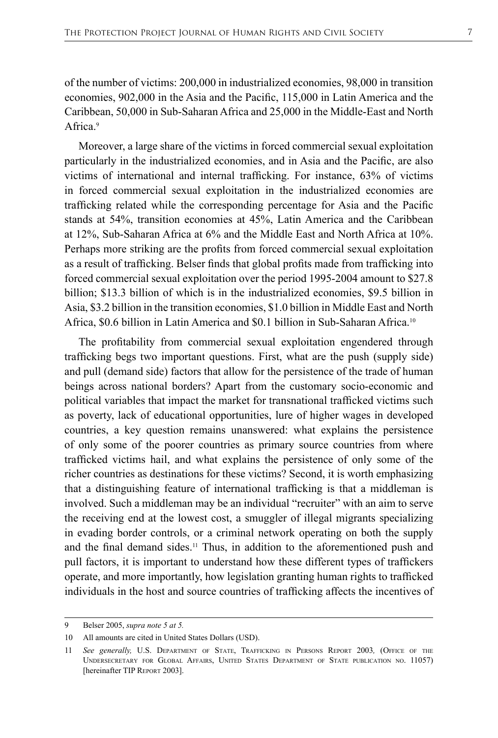of the number of victims: 200,000 in industrialized economies, 98,000 in transition economies, 902,000 in the Asia and the Pacific, 115,000 in Latin America and the Caribbean, 50,000 in Sub-Saharan Africa and 25,000 in the Middle-East and North Africa<sup>9</sup>

Moreover, a large share of the victims in forced commercial sexual exploitation particularly in the industrialized economies, and in Asia and the Pacific, are also victims of international and internal trafficking. For instance, 63% of victims in forced commercial sexual exploitation in the industrialized economies are trafficking related while the corresponding percentage for Asia and the Pacific stands at 54%, transition economies at 45%, Latin America and the Caribbean at 12%, Sub-Saharan Africa at 6% and the Middle East and North Africa at 10%. Perhaps more striking are the profits from forced commercial sexual exploitation as a result of trafficking. Belser finds that global profits made from trafficking into forced commercial sexual exploitation over the period 1995-2004 amount to \$27.8 billion; \$13.3 billion of which is in the industrialized economies, \$9.5 billion in Asia, \$3.2 billion in the transition economies, \$1.0 billion in Middle East and North Africa, \$0.6 billion in Latin America and \$0.1 billion in Sub-Saharan Africa.<sup>10</sup>

The profitability from commercial sexual exploitation engendered through trafficking begs two important questions. First, what are the push (supply side) and pull (demand side) factors that allow for the persistence of the trade of human beings across national borders? Apart from the customary socio-economic and political variables that impact the market for transnational trafficked victims such as poverty, lack of educational opportunities, lure of higher wages in developed countries, a key question remains unanswered: what explains the persistence of only some of the poorer countries as primary source countries from where trafficked victims hail, and what explains the persistence of only some of the richer countries as destinations for these victims? Second, it is worth emphasizing that a distinguishing feature of international trafficking is that a middleman is involved. Such a middleman may be an individual "recruiter" with an aim to serve the receiving end at the lowest cost, a smuggler of illegal migrants specializing in evading border controls, or a criminal network operating on both the supply and the final demand sides.<sup>11</sup> Thus, in addition to the aforementioned push and pull factors, it is important to understand how these different types of traffickers operate, and more importantly, how legislation granting human rights to trafficked individuals in the host and source countries of trafficking affects the incentives of

<sup>9</sup> Belser 2005, *supra note 5 at 5.*

<sup>10</sup> All amounts are cited in United States Dollars (USD).

<sup>11</sup> *See generally,* U.S. Department of State, Trafficking in Persons Report 2003*,* (Office of the Undersecretary for Global Affairs, United States Department of State publication no. 11057) [hereinafter TIP Report 2003].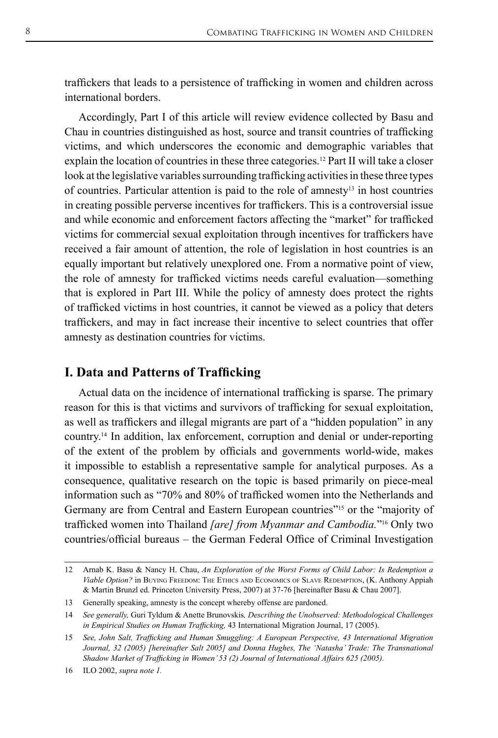traffickers that leads to a persistence of trafficking in women and children across international borders.

Accordingly, Part I of this article will review evidence collected by Basu and Chau in countries distinguished as host, source and transit countries of trafficking victims, and which underscores the economic and demographic variables that explain the location of countries in these three categories.12 Part II will take a closer look at the legislative variables surrounding trafficking activities in these three types of countries. Particular attention is paid to the role of amnesty<sup>13</sup> in host countries in creating possible perverse incentives for traffickers. This is a controversial issue and while economic and enforcement factors affecting the "market" for trafficked victims for commercial sexual exploitation through incentives for traffickers have received a fair amount of attention, the role of legislation in host countries is an equally important but relatively unexplored one. From a normative point of view, the role of amnesty for trafficked victims needs careful evaluation—something that is explored in Part III. While the policy of amnesty does protect the rights of trafficked victims in host countries, it cannot be viewed as a policy that deters traffickers, and may in fact increase their incentive to select countries that offer amnesty as destination countries for victims.

# **I. Data and Patterns of Trafficking**

Actual data on the incidence of international trafficking is sparse. The primary reason for this is that victims and survivors of trafficking for sexual exploitation, as well as traffickers and illegal migrants are part of a "hidden population" in any country.14 In addition, lax enforcement, corruption and denial or under-reporting of the extent of the problem by officials and governments world-wide, makes it impossible to establish a representative sample for analytical purposes. As a consequence, qualitative research on the topic is based primarily on piece-meal information such as "70% and 80% of trafficked women into the Netherlands and Germany are from Central and Eastern European countries"<sup>15</sup> or the "majority of trafficked women into Thailand *[are] from Myanmar and Cambodia.*"16 Only two countries/official bureaus – the German Federal Office of Criminal Investigation

<sup>12</sup> Arnab K. Basu & Nancy H. Chau, *An Exploration of the Worst Forms of Child Labor: Is Redemption a Viable Option?* in Buying Freedom: The Ethics and Economics of Slave Redemption, (K. Anthony Appiah & Martin Brunzl ed. Princeton University Press, 2007) at 37-76 [hereinafter Basu & Chau 2007].

<sup>13</sup> Generally speaking, amnesty is the concept whereby offense are pardoned.

<sup>14</sup> *See generally,* Guri Tyldum & Anette Brunovskis*, Describing the Unobserved: Methodological Challenges in Empirical Studies on Human Trafficking,* 43 International Migration Journal, 17 (2005).

<sup>15</sup> *See, John Salt, Trafficking and Human Smuggling: A European Perspective, 43 International Migration Journal, 32 (2005) [hereinafter Salt 2005] and Donna Hughes, The 'Natasha' Trade: The Transnational Shadow Market of Trafficking in Women' 53 (2) Journal of International Affairs 625 (2005).*

<sup>16</sup> ILO 2002, *supra note 1.*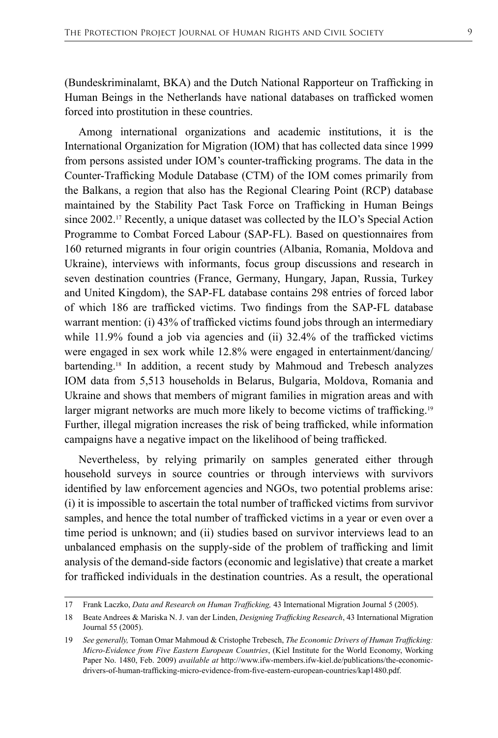(Bundeskriminalamt, BKA) and the Dutch National Rapporteur on Trafficking in Human Beings in the Netherlands have national databases on trafficked women forced into prostitution in these countries.

Among international organizations and academic institutions, it is the International Organization for Migration (IOM) that has collected data since 1999 from persons assisted under IOM's counter-trafficking programs. The data in the Counter-Trafficking Module Database (CTM) of the IOM comes primarily from the Balkans, a region that also has the Regional Clearing Point (RCP) database maintained by the Stability Pact Task Force on Trafficking in Human Beings since 2002.17 Recently, a unique dataset was collected by the ILO's Special Action Programme to Combat Forced Labour (SAP-FL). Based on questionnaires from 160 returned migrants in four origin countries (Albania, Romania, Moldova and Ukraine), interviews with informants, focus group discussions and research in seven destination countries (France, Germany, Hungary, Japan, Russia, Turkey and United Kingdom), the SAP-FL database contains 298 entries of forced labor of which 186 are trafficked victims. Two findings from the SAP-FL database warrant mention: (i) 43% of trafficked victims found jobs through an intermediary while 11.9% found a job via agencies and (ii) 32.4% of the trafficked victims were engaged in sex work while 12.8% were engaged in entertainment/dancing/ bartending.18 In addition, a recent study by Mahmoud and Trebesch analyzes IOM data from 5,513 households in Belarus, Bulgaria, Moldova, Romania and Ukraine and shows that members of migrant families in migration areas and with larger migrant networks are much more likely to become victims of trafficking.<sup>19</sup> Further, illegal migration increases the risk of being trafficked, while information campaigns have a negative impact on the likelihood of being trafficked.

Nevertheless, by relying primarily on samples generated either through household surveys in source countries or through interviews with survivors identified by law enforcement agencies and NGOs, two potential problems arise: (i) it is impossible to ascertain the total number of trafficked victims from survivor samples, and hence the total number of trafficked victims in a year or even over a time period is unknown; and (ii) studies based on survivor interviews lead to an unbalanced emphasis on the supply-side of the problem of trafficking and limit analysis of the demand-side factors (economic and legislative) that create a market for trafficked individuals in the destination countries. As a result, the operational

<sup>17</sup> Frank Laczko, *Data and Research on Human Trafficking,* 43 International Migration Journal 5 (2005).

<sup>18</sup> Beate Andrees & Mariska N. J. van der Linden, *Designing Trafficking Research*, 43 International Migration Journal 55 (2005).

<sup>19</sup> *See generally,* Toman Omar Mahmoud & Cristophe Trebesch, *The Economic Drivers of Human Trafficking: Micro-Evidence from Five Eastern European Countries*, (Kiel Institute for the World Economy, Working Paper No. 1480, Feb. 2009) *available at* http://www.ifw-members.ifw-kiel.de/publications/the-economicdrivers-of-human-trafficking-micro-evidence-from-five-eastern-european-countries/kap1480.pdf.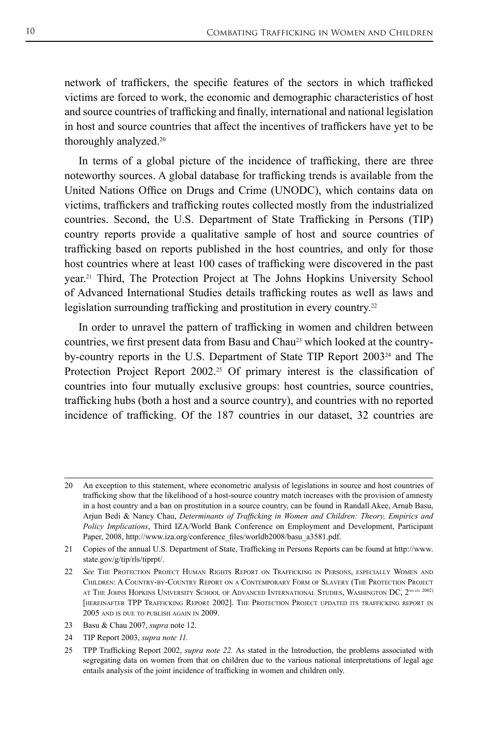network of traffickers, the specific features of the sectors in which trafficked victims are forced to work, the economic and demographic characteristics of host and source countries of trafficking and finally, international and national legislation in host and source countries that affect the incentives of traffickers have yet to be thoroughly analyzed.20

In terms of a global picture of the incidence of trafficking, there are three noteworthy sources. A global database for trafficking trends is available from the United Nations Office on Drugs and Crime (UNODC), which contains data on victims, traffickers and trafficking routes collected mostly from the industrialized countries. Second, the U.S. Department of State Trafficking in Persons (TIP) country reports provide a qualitative sample of host and source countries of trafficking based on reports published in the host countries, and only for those host countries where at least 100 cases of trafficking were discovered in the past year.21 Third, The Protection Project at The Johns Hopkins University School of Advanced International Studies details trafficking routes as well as laws and legislation surrounding trafficking and prostitution in every country.<sup>22</sup>

In order to unravel the pattern of trafficking in women and children between countries, we first present data from Basu and Chau<sup>23</sup> which looked at the countryby-country reports in the U.S. Department of State TIP Report 200324 and The Protection Project Report 2002.<sup>25</sup> Of primary interest is the classification of countries into four mutually exclusive groups: host countries, source countries, trafficking hubs (both a host and a source country), and countries with no reported incidence of trafficking. Of the 187 countries in our dataset, 32 countries are

<sup>20</sup> An exception to this statement, where econometric analysis of legislations in source and host countries of trafficking show that the likelihood of a host-source country match increases with the provision of amnesty in a host country and a ban on prostitution in a source country, can be found in Randall Akee, Arnab Basu, Arjun Bedi & Nancy Chau, *Determinants of Trafficking in Women and Children: Theory, Empirics and Policy Implications*, Third IZA/World Bank Conference on Employment and Development, Participant Paper, 2008, http://www.iza.org/conference\_files/worldb2008/basu\_a3581.pdf.

<sup>21</sup> Copies of the annual U.S. Department of State, Trafficking in Persons Reports can be found at http://www. state.gov/g/tip/rls/tiprpt/.

<sup>22</sup> *See* The Protection Project Human Rights Report on Trafficking in Persons, especially Women and Children: A Country-by-Country Report on a Contemporary Form of Slavery (The Protection Project AT THE JOHNS HOPKINS UNIVERSITY SCHOOL OF ADVANCED INTERNATIONAL STUDIES, WASHINGTON DC, 2<sup>ND ED. 2002)</sup> [hereinafter TPP Trafficking Report 2002]. The Protection Project updated its trafficking report in 2005 and is due to publish again in 2009.

<sup>23</sup> Basu & Chau 2007, *supra* note 12.

<sup>24</sup> TIP Report 2003, *supra note 11.*

<sup>25</sup> TPP Trafficking Report 2002, *supra note 22.* As stated in the Introduction, the problems associated with segregating data on women from that on children due to the various national interpretations of legal age entails analysis of the joint incidence of trafficking in women and children only.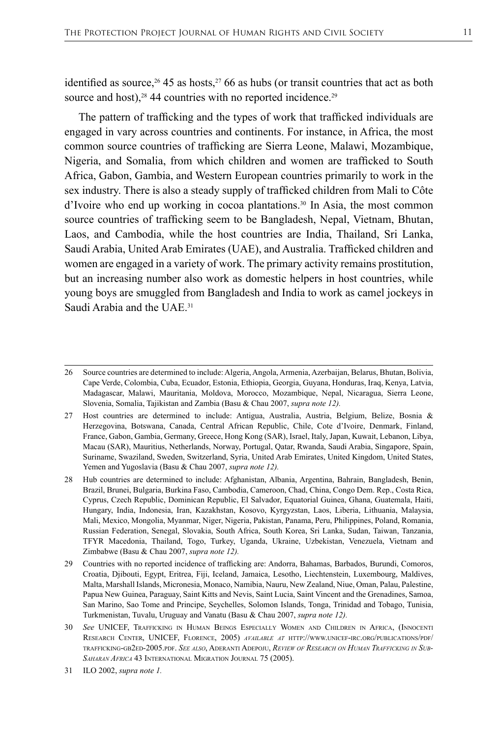identified as source,<sup>26</sup> 45 as hosts,<sup>27</sup> 66 as hubs (or transit countries that act as both source and host),<sup>28</sup> 44 countries with no reported incidence.<sup>29</sup>

The pattern of trafficking and the types of work that trafficked individuals are engaged in vary across countries and continents. For instance, in Africa, the most common source countries of trafficking are Sierra Leone, Malawi, Mozambique, Nigeria, and Somalia, from which children and women are trafficked to South Africa, Gabon, Gambia, and Western European countries primarily to work in the sex industry. There is also a steady supply of trafficked children from Mali to Côte d'Ivoire who end up working in cocoa plantations.<sup>30</sup> In Asia, the most common source countries of trafficking seem to be Bangladesh, Nepal, Vietnam, Bhutan, Laos, and Cambodia, while the host countries are India, Thailand, Sri Lanka, Saudi Arabia, United Arab Emirates (UAE), and Australia. Trafficked children and women are engaged in a variety of work. The primary activity remains prostitution, but an increasing number also work as domestic helpers in host countries, while young boys are smuggled from Bangladesh and India to work as camel jockeys in Saudi Arabia and the UAE.<sup>31</sup>

27 Host countries are determined to include: Antigua, Australia, Austria, Belgium, Belize, Bosnia & Herzegovina, Botswana, Canada, Central African Republic, Chile, Cote d'Ivoire, Denmark, Finland, France, Gabon, Gambia, Germany, Greece, Hong Kong (SAR), Israel, Italy, Japan, Kuwait, Lebanon, Libya, Macau (SAR), Mauritius, Netherlands, Norway, Portugal, Qatar, Rwanda, Saudi Arabia, Singapore, Spain, Suriname, Swaziland, Sweden, Switzerland, Syria, United Arab Emirates, United Kingdom, United States, Yemen and Yugoslavia (Basu & Chau 2007, *supra note 12).*

28 Hub countries are determined to include: Afghanistan, Albania, Argentina, Bahrain, Bangladesh, Benin, Brazil, Brunei, Bulgaria, Burkina Faso, Cambodia, Cameroon, Chad, China, Congo Dem. Rep., Costa Rica, Cyprus, Czech Republic, Dominican Republic, El Salvador, Equatorial Guinea, Ghana, Guatemala, Haiti, Hungary, India, Indonesia, Iran, Kazakhstan, Kosovo, Kyrgyzstan, Laos, Liberia, Lithuania, Malaysia, Mali, Mexico, Mongolia, Myanmar, Niger, Nigeria, Pakistan, Panama, Peru, Philippines, Poland, Romania, Russian Federation, Senegal, Slovakia, South Africa, South Korea, Sri Lanka, Sudan, Taiwan, Tanzania, TFYR Macedonia, Thailand, Togo, Turkey, Uganda, Ukraine, Uzbekistan, Venezuela, Vietnam and Zimbabwe (Basu & Chau 2007, *supra note 12).*

29 Countries with no reported incidence of trafficking are: Andorra, Bahamas, Barbados, Burundi, Comoros, Croatia, Djibouti, Egypt, Eritrea, Fiji, Iceland, Jamaica, Lesotho, Liechtenstein, Luxembourg, Maldives, Malta, Marshall Islands, Micronesia, Monaco, Namibia, Nauru, New Zealand, Niue, Oman, Palau, Palestine, Papua New Guinea, Paraguay, Saint Kitts and Nevis, Saint Lucia, Saint Vincent and the Grenadines, Samoa, San Marino, Sao Tome and Principe, Seychelles, Solomon Islands, Tonga, Trinidad and Tobago, Tunisia, Turkmenistan, Tuvalu, Uruguay and Vanatu (Basu & Chau 2007, *supra note 12).*

30 *See* UNICEF, Trafficking in Human Beings Especially Women and Children in Africa, (Innocenti Research Center, UNICEF, Florence, 2005) *available at* http://www.unicef-irc.org/publications/pdf/ trafficking-gb2ed-2005.pdf. *See also*, Aderanti Adepoju, *Review of Research on Human Trafficking in Sub-Saharan Africa* 43 International Migration Journal 75 (2005).

<sup>26</sup> Source countries are determined to include: Algeria, Angola, Armenia, Azerbaijan, Belarus, Bhutan, Bolivia, Cape Verde, Colombia, Cuba, Ecuador, Estonia, Ethiopia, Georgia, Guyana, Honduras, Iraq, Kenya, Latvia, Madagascar, Malawi, Mauritania, Moldova, Morocco, Mozambique, Nepal, Nicaragua, Sierra Leone, Slovenia, Somalia, Tajikistan and Zambia (Basu & Chau 2007, *supra note 12).*

<sup>31</sup> ILO 2002, *supra note 1.*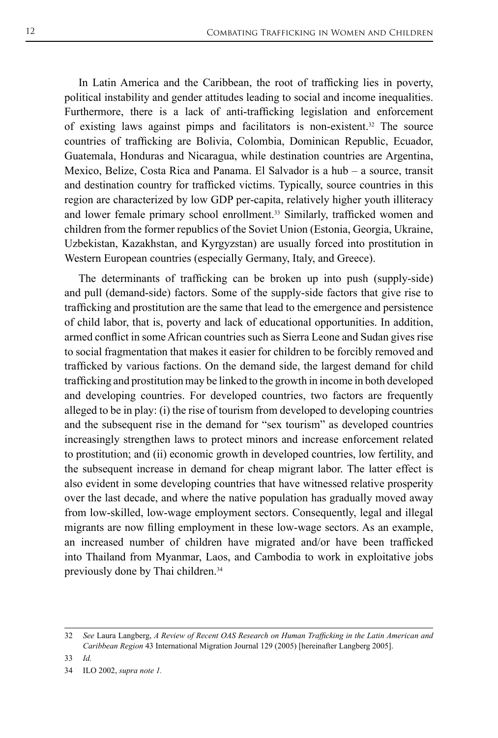In Latin America and the Caribbean, the root of trafficking lies in poverty, political instability and gender attitudes leading to social and income inequalities. Furthermore, there is a lack of anti-trafficking legislation and enforcement of existing laws against pimps and facilitators is non-existent.<sup>32</sup> The source countries of trafficking are Bolivia, Colombia, Dominican Republic, Ecuador, Guatemala, Honduras and Nicaragua, while destination countries are Argentina, Mexico, Belize, Costa Rica and Panama. El Salvador is a hub – a source, transit and destination country for trafficked victims. Typically, source countries in this region are characterized by low GDP per-capita, relatively higher youth illiteracy and lower female primary school enrollment.<sup>33</sup> Similarly, trafficked women and children from the former republics of the Soviet Union (Estonia, Georgia, Ukraine, Uzbekistan, Kazakhstan, and Kyrgyzstan) are usually forced into prostitution in Western European countries (especially Germany, Italy, and Greece).

The determinants of trafficking can be broken up into push (supply-side) and pull (demand-side) factors. Some of the supply-side factors that give rise to trafficking and prostitution are the same that lead to the emergence and persistence of child labor, that is, poverty and lack of educational opportunities. In addition, armed conflict in some African countries such as Sierra Leone and Sudan gives rise to social fragmentation that makes it easier for children to be forcibly removed and trafficked by various factions. On the demand side, the largest demand for child trafficking and prostitution may be linked to the growth in income in both developed and developing countries. For developed countries, two factors are frequently alleged to be in play: (i) the rise of tourism from developed to developing countries and the subsequent rise in the demand for "sex tourism" as developed countries increasingly strengthen laws to protect minors and increase enforcement related to prostitution; and (ii) economic growth in developed countries, low fertility, and the subsequent increase in demand for cheap migrant labor. The latter effect is also evident in some developing countries that have witnessed relative prosperity over the last decade, and where the native population has gradually moved away from low-skilled, low-wage employment sectors. Consequently, legal and illegal migrants are now filling employment in these low-wage sectors. As an example, an increased number of children have migrated and/or have been trafficked into Thailand from Myanmar, Laos, and Cambodia to work in exploitative jobs previously done by Thai children.<sup>34</sup>

<sup>32</sup> *See* Laura Langberg, *A Review of Recent OAS Research on Human Trafficking in the Latin American and Caribbean Region* 43 International Migration Journal 129 (2005) [hereinafter Langberg 2005].

<sup>33</sup> *Id.*

<sup>34</sup> ILO 2002, *supra note 1.*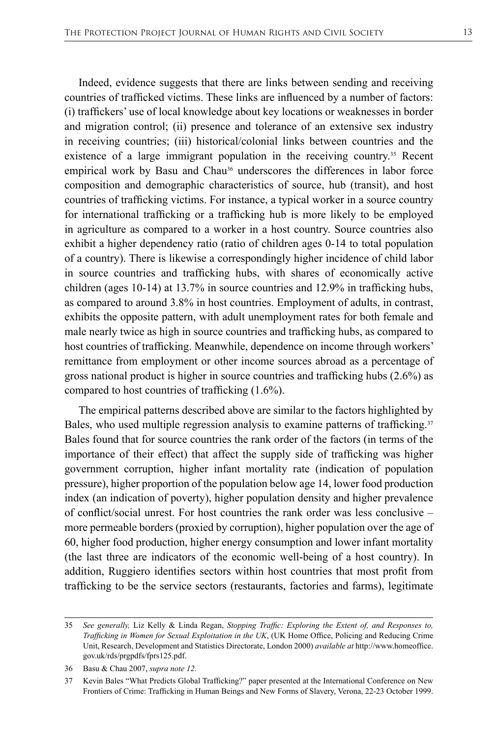Indeed, evidence suggests that there are links between sending and receiving countries of trafficked victims. These links are influenced by a number of factors: (i) traffickers' use of local knowledge about key locations or weaknesses in border and migration control; (ii) presence and tolerance of an extensive sex industry in receiving countries; (iii) historical/colonial links between countries and the existence of a large immigrant population in the receiving country.<sup>35</sup> Recent empirical work by Basu and Chau<sup>36</sup> underscores the differences in labor force composition and demographic characteristics of source, hub (transit), and host countries of trafficking victims. For instance, a typical worker in a source country for international trafficking or a trafficking hub is more likely to be employed in agriculture as compared to a worker in a host country. Source countries also exhibit a higher dependency ratio (ratio of children ages 0-14 to total population of a country). There is likewise a correspondingly higher incidence of child labor in source countries and trafficking hubs, with shares of economically active children (ages 10-14) at 13.7% in source countries and 12.9% in trafficking hubs, as compared to around 3.8% in host countries. Employment of adults, in contrast, exhibits the opposite pattern, with adult unemployment rates for both female and male nearly twice as high in source countries and trafficking hubs, as compared to host countries of trafficking. Meanwhile, dependence on income through workers' remittance from employment or other income sources abroad as a percentage of gross national product is higher in source countries and trafficking hubs (2.6%) as compared to host countries of trafficking (1.6%).

The empirical patterns described above are similar to the factors highlighted by Bales, who used multiple regression analysis to examine patterns of trafficking.<sup>37</sup> Bales found that for source countries the rank order of the factors (in terms of the importance of their effect) that affect the supply side of trafficking was higher government corruption, higher infant mortality rate (indication of population pressure), higher proportion of the population below age 14, lower food production index (an indication of poverty), higher population density and higher prevalence of conflict/social unrest. For host countries the rank order was less conclusive – more permeable borders (proxied by corruption), higher population over the age of 60, higher food production, higher energy consumption and lower infant mortality (the last three are indicators of the economic well-being of a host country). In addition, Ruggiero identifies sectors within host countries that most profit from trafficking to be the service sectors (restaurants, factories and farms), legitimate

<sup>35</sup> *See generally,* Liz Kelly & Linda Regan, *Stopping Traffic: Exploring the Extent of, and Responses to, Trafficking in Women for Sexual Exploitation in the UK*, (UK Home Office, Policing and Reducing Crime Unit, Research, Development and Statistics Directorate, London 2000) *available at* http://www.homeoffice. gov.uk/rds/prgpdfs/fprs125.pdf.

<sup>36</sup> Basu & Chau 2007, *supra note 12.*

<sup>37</sup> Kevin Bales "What Predicts Global Trafficking?" paper presented at the International Conference on New Frontiers of Crime: Trafficking in Human Beings and New Forms of Slavery, Verona, 22-23 October 1999.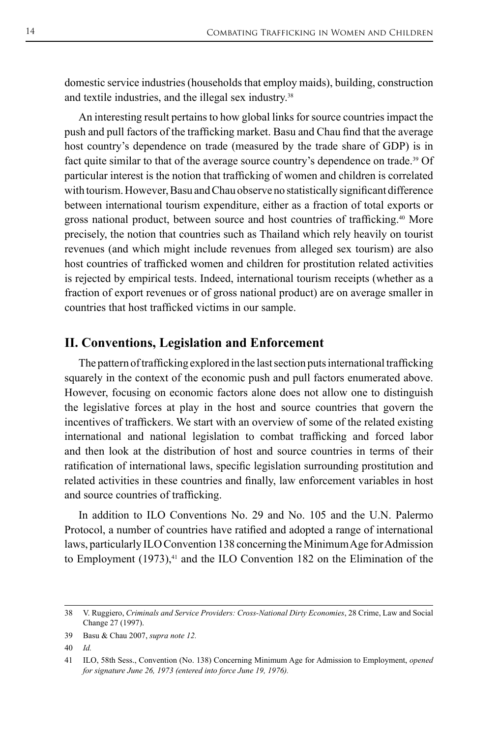domestic service industries (households that employ maids), building, construction and textile industries, and the illegal sex industry.<sup>38</sup>

An interesting result pertains to how global links for source countries impact the push and pull factors of the trafficking market. Basu and Chau find that the average host country's dependence on trade (measured by the trade share of GDP) is in fact quite similar to that of the average source country's dependence on trade.39 Of particular interest is the notion that trafficking of women and children is correlated with tourism. However, Basu and Chau observe no statistically significant difference between international tourism expenditure, either as a fraction of total exports or gross national product, between source and host countries of trafficking.40 More precisely, the notion that countries such as Thailand which rely heavily on tourist revenues (and which might include revenues from alleged sex tourism) are also host countries of trafficked women and children for prostitution related activities is rejected by empirical tests. Indeed, international tourism receipts (whether as a fraction of export revenues or of gross national product) are on average smaller in countries that host trafficked victims in our sample.

#### **II. Conventions, Legislation and Enforcement**

The pattern of trafficking explored in the last section puts international trafficking squarely in the context of the economic push and pull factors enumerated above. However, focusing on economic factors alone does not allow one to distinguish the legislative forces at play in the host and source countries that govern the incentives of traffickers. We start with an overview of some of the related existing international and national legislation to combat trafficking and forced labor and then look at the distribution of host and source countries in terms of their ratification of international laws, specific legislation surrounding prostitution and related activities in these countries and finally, law enforcement variables in host and source countries of trafficking.

In addition to ILO Conventions No. 29 and No. 105 and the U.N. Palermo Protocol, a number of countries have ratified and adopted a range of international laws, particularly ILO Convention 138 concerning the Minimum Age for Admission to Employment  $(1973)$ ,<sup>41</sup> and the ILO Convention 182 on the Elimination of the

<sup>38</sup> V. Ruggiero, *Criminals and Service Providers: Cross-National Dirty Economies*, 28 Crime, Law and Social Change 27 (1997).

<sup>39</sup> Basu & Chau 2007, *supra note 12.*

<sup>40</sup> *Id.*

<sup>41</sup> ILO, 58th Sess., Convention (No. 138) Concerning Minimum Age for Admission to Employment, *opened for signature June 26, 1973 (entered into force June 19, 1976).*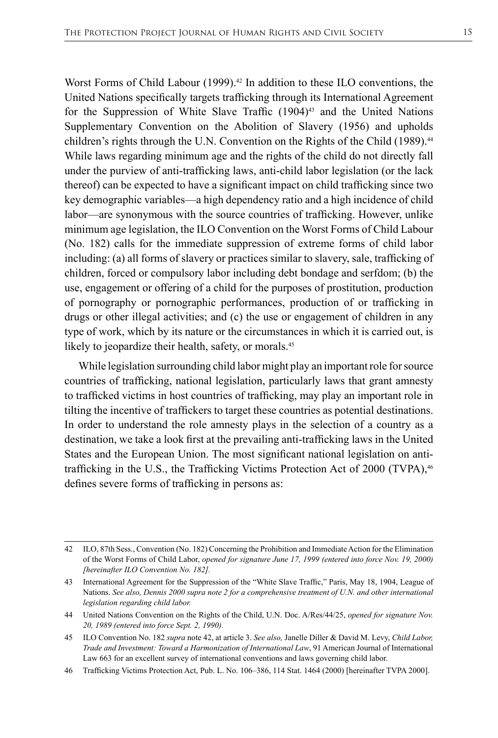Worst Forms of Child Labour  $(1999)$ .<sup>42</sup> In addition to these ILO conventions, the United Nations specifically targets trafficking through its International Agreement for the Suppression of White Slave Traffic  $(1904)^{43}$  and the United Nations Supplementary Convention on the Abolition of Slavery (1956) and upholds children's rights through the U.N. Convention on the Rights of the Child (1989).<sup>44</sup> While laws regarding minimum age and the rights of the child do not directly fall under the purview of anti-trafficking laws, anti-child labor legislation (or the lack thereof) can be expected to have a significant impact on child trafficking since two key demographic variables—a high dependency ratio and a high incidence of child labor—are synonymous with the source countries of trafficking. However, unlike minimum age legislation, the ILO Convention on the Worst Forms of Child Labour (No. 182) calls for the immediate suppression of extreme forms of child labor including: (a) all forms of slavery or practices similar to slavery, sale, trafficking of children, forced or compulsory labor including debt bondage and serfdom; (b) the use, engagement or offering of a child for the purposes of prostitution, production of pornography or pornographic performances, production of or trafficking in drugs or other illegal activities; and (c) the use or engagement of children in any type of work, which by its nature or the circumstances in which it is carried out, is likely to jeopardize their health, safety, or morals.<sup>45</sup>

While legislation surrounding child labor might play an important role for source countries of trafficking, national legislation, particularly laws that grant amnesty to trafficked victims in host countries of trafficking, may play an important role in tilting the incentive of traffickers to target these countries as potential destinations. In order to understand the role amnesty plays in the selection of a country as a destination, we take a look first at the prevailing anti-trafficking laws in the United States and the European Union. The most significant national legislation on antitrafficking in the U.S., the Trafficking Victims Protection Act of 2000 (TVPA),<sup>46</sup> defines severe forms of trafficking in persons as:

46 Trafficking Victims Protection Act, Pub. L. No. 106–386, 114 Stat. 1464 (2000) [hereinafter TVPA 2000].

<sup>42</sup> ILO, 87th Sess., Convention (No. 182) Concerning the Prohibition and Immediate Action for the Elimination of the Worst Forms of Child Labor, *opened for signature June 17, 1999 (entered into force Nov. 19, 2000) [hereinafter ILO Convention No. 182].*

<sup>43</sup> International Agreement for the Suppression of the "White Slave Traffic," Paris, May 18, 1904, League of Nations. *See also, Dennis 2000 supra note 2 for a comprehensive treatment of U.N. and other international legislation regarding child labor.*

<sup>44</sup> United Nations Convention on the Rights of the Child, U.N. Doc. A/Res/44/25, *opened for signature Nov. 20, 1989 (entered into force Sept. 2, 1990).*

<sup>45</sup> ILO Convention No. 182 *supra* note 42, at article 3. *See also,* Janelle Diller & David M. Levy, *Child Labor, Trade and Investment: Toward a Harmonization of International Law*, 91 American Journal of International Law 663 for an excellent survey of international conventions and laws governing child labor.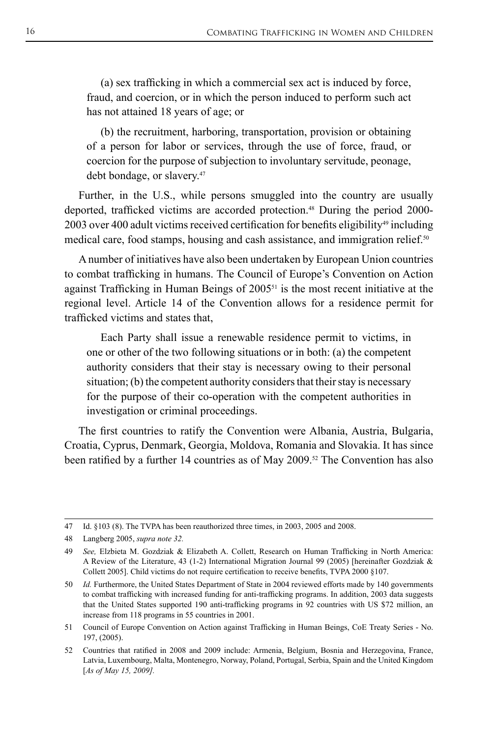(a) sex trafficking in which a commercial sex act is induced by force, fraud, and coercion, or in which the person induced to perform such act has not attained 18 years of age; or

(b) the recruitment, harboring, transportation, provision or obtaining of a person for labor or services, through the use of force, fraud, or coercion for the purpose of subjection to involuntary servitude, peonage, debt bondage, or slavery.<sup>47</sup>

Further, in the U.S., while persons smuggled into the country are usually deported, trafficked victims are accorded protection.48 During the period 2000- 2003 over 400 adult victims received certification for benefits eligibility<sup>49</sup> including medical care, food stamps, housing and cash assistance, and immigration relief.<sup>50</sup>

A number of initiatives have also been undertaken by European Union countries to combat trafficking in humans. The Council of Europe's Convention on Action against Trafficking in Human Beings of 200551 is the most recent initiative at the regional level. Article 14 of the Convention allows for a residence permit for trafficked victims and states that,

Each Party shall issue a renewable residence permit to victims, in one or other of the two following situations or in both: (a) the competent authority considers that their stay is necessary owing to their personal situation; (b) the competent authority considers that their stay is necessary for the purpose of their co-operation with the competent authorities in investigation or criminal proceedings.

The first countries to ratify the Convention were Albania, Austria, Bulgaria, Croatia, Cyprus, Denmark, Georgia, Moldova, Romania and Slovakia. It has since been ratified by a further 14 countries as of May 2009.<sup>52</sup> The Convention has also

<sup>47</sup> Id. §103 (8). The TVPA has been reauthorized three times, in 2003, 2005 and 2008.

<sup>48</sup> Langberg 2005, *supra note 32.*

<sup>49</sup> *See,* Elzbieta M. Gozdziak & Elizabeth A. Collett, Research on Human Trafficking in North America: A Review of the Literature, 43 (1-2) International Migration Journal 99 (2005) [hereinafter Gozdziak & Collett 2005]. Child victims do not require certification to receive benefits, TVPA 2000 §107.

<sup>50</sup> *Id.* Furthermore, the United States Department of State in 2004 reviewed efforts made by 140 governments to combat trafficking with increased funding for anti-trafficking programs. In addition, 2003 data suggests that the United States supported 190 anti-trafficking programs in 92 countries with US \$72 million, an increase from 118 programs in 55 countries in 2001.

<sup>51</sup> Council of Europe Convention on Action against Trafficking in Human Beings, CoE Treaty Series - No. 197, (2005).

<sup>52</sup> Countries that ratified in 2008 and 2009 include: Armenia, Belgium, Bosnia and Herzegovina, France, Latvia, Luxembourg, Malta, Montenegro, Norway, Poland, Portugal, Serbia, Spain and the United Kingdom [*As of May 15, 2009].*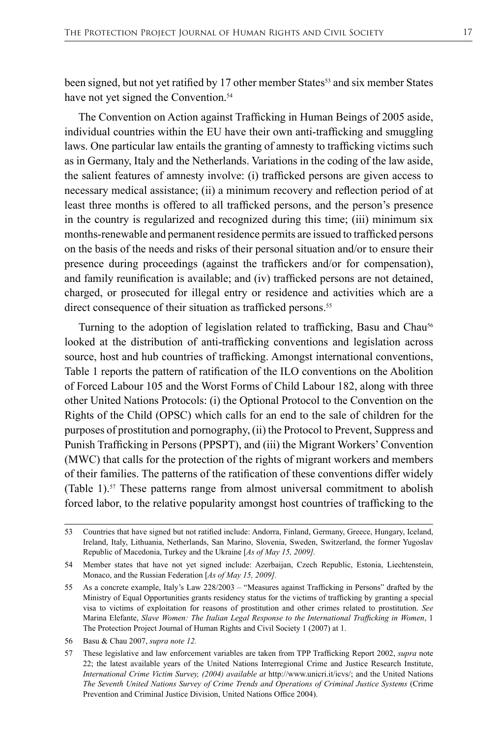been signed, but not yet ratified by 17 other member States<sup>53</sup> and six member States have not yet signed the Convention.<sup>54</sup>

The Convention on Action against Trafficking in Human Beings of 2005 aside, individual countries within the EU have their own anti-trafficking and smuggling laws. One particular law entails the granting of amnesty to trafficking victims such as in Germany, Italy and the Netherlands. Variations in the coding of the law aside, the salient features of amnesty involve: (i) trafficked persons are given access to necessary medical assistance; (ii) a minimum recovery and reflection period of at least three months is offered to all trafficked persons, and the person's presence in the country is regularized and recognized during this time; (iii) minimum six months-renewable and permanent residence permits are issued to trafficked persons on the basis of the needs and risks of their personal situation and/or to ensure their presence during proceedings (against the traffickers and/or for compensation), and family reunification is available; and (iv) trafficked persons are not detained, charged, or prosecuted for illegal entry or residence and activities which are a direct consequence of their situation as trafficked persons.<sup>55</sup>

Turning to the adoption of legislation related to trafficking, Basu and Chau<sup>56</sup> looked at the distribution of anti-trafficking conventions and legislation across source, host and hub countries of trafficking. Amongst international conventions, Table 1 reports the pattern of ratification of the ILO conventions on the Abolition of Forced Labour 105 and the Worst Forms of Child Labour 182, along with three other United Nations Protocols: (i) the Optional Protocol to the Convention on the Rights of the Child (OPSC) which calls for an end to the sale of children for the purposes of prostitution and pornography, (ii) the Protocol to Prevent, Suppress and Punish Trafficking in Persons (PPSPT), and (iii) the Migrant Workers' Convention (MWC) that calls for the protection of the rights of migrant workers and members of their families. The patterns of the ratification of these conventions differ widely (Table 1).<sup>57</sup> These patterns range from almost universal commitment to abolish forced labor, to the relative popularity amongst host countries of trafficking to the

<sup>53</sup> Countries that have signed but not ratified include: Andorra, Finland, Germany, Greece, Hungary, Iceland, Ireland, Italy, Lithuania, Netherlands, San Marino, Slovenia, Sweden, Switzerland, the former Yugoslav Republic of Macedonia, Turkey and the Ukraine [*As of May 15, 2009].*

<sup>54</sup> Member states that have not yet signed include: Azerbaijan, Czech Republic, Estonia, Liechtenstein, Monaco, and the Russian Federation [*As of May 15, 2009].*

<sup>55</sup> As a concrete example, Italy's Law 228/2003 – "Measures against Trafficking in Persons" drafted by the Ministry of Equal Opportunities grants residency status for the victims of trafficking by granting a special visa to victims of exploitation for reasons of prostitution and other crimes related to prostitution. *See*  Marina Elefante, *Slave Women: The Italian Legal Response to the International Trafficking in Women*, 1 The Protection Project Journal of Human Rights and Civil Society 1 (2007) at 1.

<sup>56</sup> Basu & Chau 2007, *supra note 12.*

<sup>57</sup> These legislative and law enforcement variables are taken from TPP Trafficking Report 2002, *supra* note 22; the latest available years of the United Nations Interregional Crime and Justice Research Institute, *International Crime Victim Survey, (2004) available at http://www.unicri.it/icvs/; and the United Nations The Seventh United Nations Survey of Crime Trends and Operations of Criminal Justice Systems* (Crime Prevention and Criminal Justice Division, United Nations Office 2004).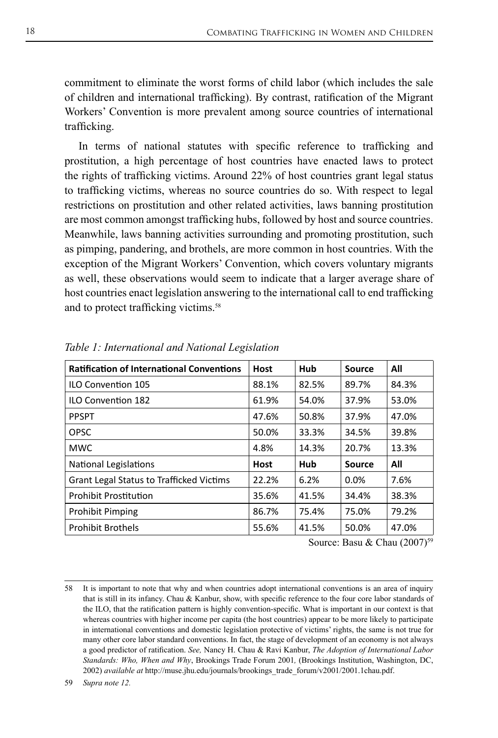commitment to eliminate the worst forms of child labor (which includes the sale of children and international trafficking). By contrast, ratification of the Migrant Workers' Convention is more prevalent among source countries of international trafficking.

In terms of national statutes with specific reference to trafficking and prostitution, a high percentage of host countries have enacted laws to protect the rights of trafficking victims. Around 22% of host countries grant legal status to trafficking victims, whereas no source countries do so. With respect to legal restrictions on prostitution and other related activities, laws banning prostitution are most common amongst trafficking hubs, followed by host and source countries. Meanwhile, laws banning activities surrounding and promoting prostitution, such as pimping, pandering, and brothels, are more common in host countries. With the exception of the Migrant Workers' Convention, which covers voluntary migrants as well, these observations would seem to indicate that a larger average share of host countries enact legislation answering to the international call to end trafficking and to protect trafficking victims.<sup>58</sup>

| <b>Ratification of International Conventions</b> | <b>Host</b> | Hub   | <b>Source</b> | All   |
|--------------------------------------------------|-------------|-------|---------------|-------|
| <b>ILO Convention 105</b>                        | 88.1%       | 82.5% | 89.7%         | 84.3% |
| <b>ILO Convention 182</b>                        | 61.9%       | 54.0% | 37.9%         | 53.0% |
| <b>PPSPT</b>                                     | 47.6%       | 50.8% | 37.9%         | 47.0% |
| <b>OPSC</b>                                      | 50.0%       | 33.3% | 34.5%         | 39.8% |
| <b>MWC</b>                                       | 4.8%        | 14.3% | 20.7%         | 13.3% |
| <b>National Legislations</b>                     | Host        | Hub   | <b>Source</b> | All   |
| <b>Grant Legal Status to Trafficked Victims</b>  | 22.2%       | 6.2%  | 0.0%          | 7.6%  |
| <b>Prohibit Prostitution</b>                     | 35.6%       | 41.5% | 34.4%         | 38.3% |
| <b>Prohibit Pimping</b>                          | 86.7%       | 75.4% | 75.0%         | 79.2% |
| <b>Prohibit Brothels</b>                         | 55.6%       | 41.5% | 50.0%         | 47.0% |

*Table 1: International and National Legislation*

Source: Basu & Chau (2007)<sup>59</sup>

59 *Supra note 12.*

<sup>58</sup> It is important to note that why and when countries adopt international conventions is an area of inquiry that is still in its infancy. Chau & Kanbur, show, with specific reference to the four core labor standards of the ILO, that the ratification pattern is highly convention-specific. What is important in our context is that whereas countries with higher income per capita (the host countries) appear to be more likely to participate in international conventions and domestic legislation protective of victims' rights, the same is not true for many other core labor standard conventions. In fact, the stage of development of an economy is not always a good predictor of ratification. *See,* Nancy H. Chau & Ravi Kanbur, *The Adoption of International Labor Standards: Who, When and Why*, Brookings Trade Forum 2001*,* (Brookings Institution, Washington, DC, 2002) *available at* http://muse.jhu.edu/journals/brookings\_trade\_forum/v2001/2001.1chau.pdf.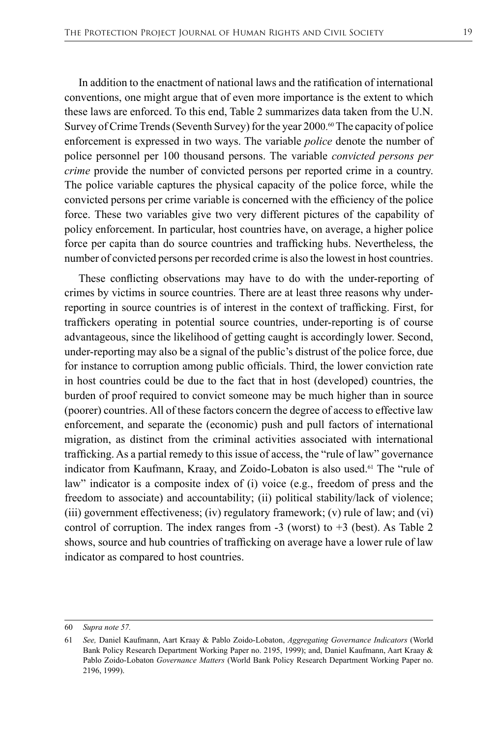In addition to the enactment of national laws and the ratification of international conventions, one might argue that of even more importance is the extent to which these laws are enforced. To this end, Table 2 summarizes data taken from the U.N. Survey of Crime Trends (Seventh Survey) for the year 2000.<sup>60</sup> The capacity of police enforcement is expressed in two ways. The variable *police* denote the number of police personnel per 100 thousand persons. The variable *convicted persons per crime* provide the number of convicted persons per reported crime in a country. The police variable captures the physical capacity of the police force, while the convicted persons per crime variable is concerned with the efficiency of the police force. These two variables give two very different pictures of the capability of policy enforcement. In particular, host countries have, on average, a higher police force per capita than do source countries and trafficking hubs. Nevertheless, the number of convicted persons per recorded crime is also the lowest in host countries.

These conflicting observations may have to do with the under-reporting of crimes by victims in source countries. There are at least three reasons why underreporting in source countries is of interest in the context of trafficking. First, for traffickers operating in potential source countries, under-reporting is of course advantageous, since the likelihood of getting caught is accordingly lower. Second, under-reporting may also be a signal of the public's distrust of the police force, due for instance to corruption among public officials. Third, the lower conviction rate in host countries could be due to the fact that in host (developed) countries, the burden of proof required to convict someone may be much higher than in source (poorer) countries. All of these factors concern the degree of access to effective law enforcement, and separate the (economic) push and pull factors of international migration, as distinct from the criminal activities associated with international trafficking. As a partial remedy to this issue of access, the "rule of law" governance indicator from Kaufmann, Kraay, and Zoido-Lobaton is also used.<sup>61</sup> The "rule of law" indicator is a composite index of (i) voice (e.g., freedom of press and the freedom to associate) and accountability; (ii) political stability/lack of violence; (iii) government effectiveness; (iv) regulatory framework; (v) rule of law; and (vi) control of corruption. The index ranges from  $-3$  (worst) to  $+3$  (best). As Table 2 shows, source and hub countries of trafficking on average have a lower rule of law indicator as compared to host countries.

<sup>60</sup> *Supra note 57.*

<sup>61</sup> *See,* Daniel Kaufmann, Aart Kraay & Pablo Zoido-Lobaton, *Aggregating Governance Indicators* (World Bank Policy Research Department Working Paper no. 2195, 1999); and, Daniel Kaufmann, Aart Kraay & Pablo Zoido-Lobaton *Governance Matters* (World Bank Policy Research Department Working Paper no. 2196, 1999).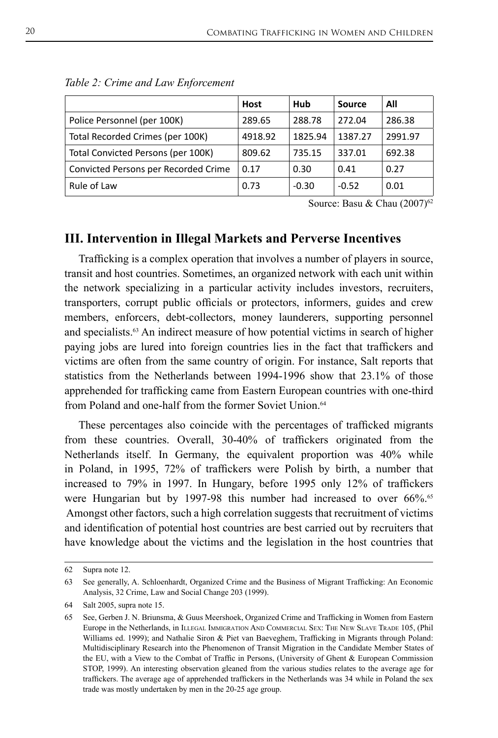|                                      | <b>Host</b> | Hub     | <b>Source</b> | All     |
|--------------------------------------|-------------|---------|---------------|---------|
| Police Personnel (per 100K)          | 289.65      | 288.78  | 272.04        | 286.38  |
| Total Recorded Crimes (per 100K)     | 4918.92     | 1825.94 | 1387.27       | 2991.97 |
| Total Convicted Persons (per 100K)   | 809.62      | 735.15  | 337.01        | 692.38  |
| Convicted Persons per Recorded Crime | 0.17        | 0.30    | 0.41          | 0.27    |
| Rule of Law                          | 0.73        | $-0.30$ | $-0.52$       | 0.01    |

|  | Table 2: Crime and Law Enforcement |
|--|------------------------------------|
|  |                                    |

Source: Basu & Chau (2007)<sup>62</sup>

## **III. Intervention in Illegal Markets and Perverse Incentives**

Trafficking is a complex operation that involves a number of players in source, transit and host countries. Sometimes, an organized network with each unit within the network specializing in a particular activity includes investors, recruiters, transporters, corrupt public officials or protectors, informers, guides and crew members, enforcers, debt-collectors, money launderers, supporting personnel and specialists.<sup>63</sup> An indirect measure of how potential victims in search of higher paying jobs are lured into foreign countries lies in the fact that traffickers and victims are often from the same country of origin. For instance, Salt reports that statistics from the Netherlands between 1994-1996 show that 23.1% of those apprehended for trafficking came from Eastern European countries with one-third from Poland and one-half from the former Soviet Union.<sup>64</sup>

These percentages also coincide with the percentages of trafficked migrants from these countries. Overall, 30-40% of traffickers originated from the Netherlands itself. In Germany, the equivalent proportion was 40% while in Poland, in 1995, 72% of traffickers were Polish by birth, a number that increased to 79% in 1997. In Hungary, before 1995 only 12% of traffickers were Hungarian but by 1997-98 this number had increased to over 66%.<sup>65</sup> Amongst other factors, such a high correlation suggests that recruitment of victims and identification of potential host countries are best carried out by recruiters that have knowledge about the victims and the legislation in the host countries that

<sup>62</sup> Supra note 12.

<sup>63</sup> See generally, A. Schloenhardt, Organized Crime and the Business of Migrant Trafficking: An Economic Analysis, 32 Crime, Law and Social Change 203 (1999).

<sup>64</sup> Salt 2005, supra note 15.

<sup>65</sup> See, Gerben J. N. Briunsma, & Guus Meershoek, Organized Crime and Trafficking in Women from Eastern Europe in the Netherlands, in Illegal Immigration And Commercial Sex: The New Slave Trade 105, (Phil Williams ed. 1999); and Nathalie Siron & Piet van Baeveghem, Trafficking in Migrants through Poland: Multidisciplinary Research into the Phenomenon of Transit Migration in the Candidate Member States of the EU, with a View to the Combat of Traffic in Persons, (University of Ghent & European Commission STOP, 1999). An interesting observation gleaned from the various studies relates to the average age for traffickers. The average age of apprehended traffickers in the Netherlands was 34 while in Poland the sex trade was mostly undertaken by men in the 20-25 age group.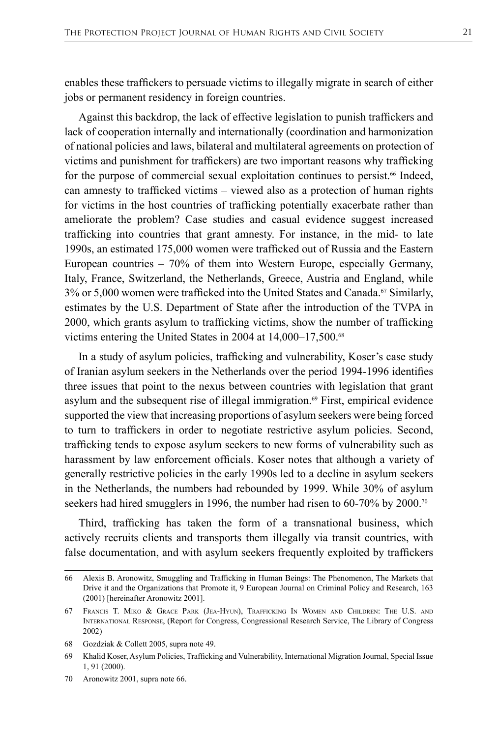enables these traffickers to persuade victims to illegally migrate in search of either jobs or permanent residency in foreign countries.

Against this backdrop, the lack of effective legislation to punish traffickers and lack of cooperation internally and internationally (coordination and harmonization of national policies and laws, bilateral and multilateral agreements on protection of victims and punishment for traffickers) are two important reasons why trafficking for the purpose of commercial sexual exploitation continues to persist.<sup>66</sup> Indeed, can amnesty to trafficked victims – viewed also as a protection of human rights for victims in the host countries of trafficking potentially exacerbate rather than ameliorate the problem? Case studies and casual evidence suggest increased trafficking into countries that grant amnesty. For instance, in the mid- to late 1990s, an estimated 175,000 women were trafficked out of Russia and the Eastern European countries – 70% of them into Western Europe, especially Germany, Italy, France, Switzerland, the Netherlands, Greece, Austria and England, while  $3\%$  or 5,000 women were trafficked into the United States and Canada.<sup>67</sup> Similarly, estimates by the U.S. Department of State after the introduction of the TVPA in 2000, which grants asylum to trafficking victims, show the number of trafficking victims entering the United States in 2004 at 14,000–17,500.<sup>68</sup>

In a study of asylum policies, trafficking and vulnerability, Koser's case study of Iranian asylum seekers in the Netherlands over the period 1994-1996 identifies three issues that point to the nexus between countries with legislation that grant asylum and the subsequent rise of illegal immigration.<sup>69</sup> First, empirical evidence supported the view that increasing proportions of asylum seekers were being forced to turn to traffickers in order to negotiate restrictive asylum policies. Second, trafficking tends to expose asylum seekers to new forms of vulnerability such as harassment by law enforcement officials. Koser notes that although a variety of generally restrictive policies in the early 1990s led to a decline in asylum seekers in the Netherlands, the numbers had rebounded by 1999. While 30% of asylum seekers had hired smugglers in 1996, the number had risen to 60-70% by 2000.<sup>70</sup>

Third, trafficking has taken the form of a transnational business, which actively recruits clients and transports them illegally via transit countries, with false documentation, and with asylum seekers frequently exploited by traffickers

<sup>66</sup> Alexis B. Aronowitz, Smuggling and Trafficking in Human Beings: The Phenomenon, The Markets that Drive it and the Organizations that Promote it, 9 European Journal on Criminal Policy and Research, 163 (2001) [hereinafter Aronowitz 2001].

<sup>67</sup> Francis T. Miko & Grace Park (Jea-Hyun), Trafficking In Women and Children: The U.S. and International Response, (Report for Congress, Congressional Research Service, The Library of Congress 2002)

<sup>68</sup> Gozdziak & Collett 2005, supra note 49.

<sup>69</sup> Khalid Koser, Asylum Policies, Trafficking and Vulnerability, International Migration Journal, Special Issue 1, 91 (2000).

<sup>70</sup> Aronowitz 2001, supra note 66.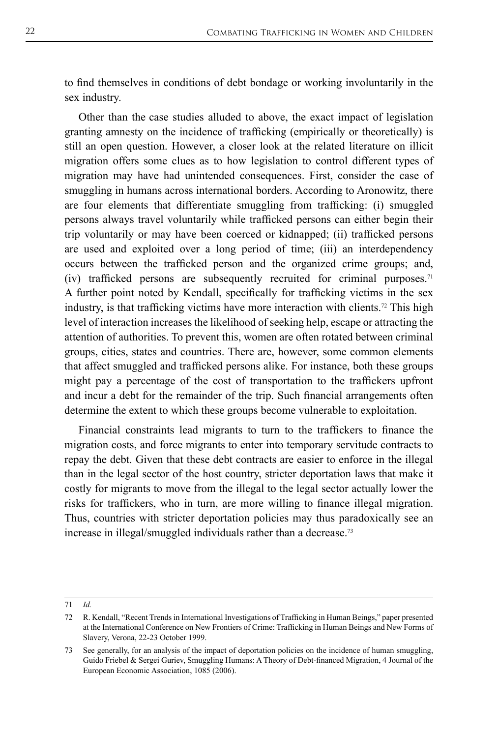to find themselves in conditions of debt bondage or working involuntarily in the sex industry.

Other than the case studies alluded to above, the exact impact of legislation granting amnesty on the incidence of trafficking (empirically or theoretically) is still an open question. However, a closer look at the related literature on illicit migration offers some clues as to how legislation to control different types of migration may have had unintended consequences. First, consider the case of smuggling in humans across international borders. According to Aronowitz, there are four elements that differentiate smuggling from trafficking: (i) smuggled persons always travel voluntarily while trafficked persons can either begin their trip voluntarily or may have been coerced or kidnapped; (ii) trafficked persons are used and exploited over a long period of time; (iii) an interdependency occurs between the trafficked person and the organized crime groups; and, (iv) trafficked persons are subsequently recruited for criminal purposes.<sup>71</sup> A further point noted by Kendall, specifically for trafficking victims in the sex industry, is that trafficking victims have more interaction with clients.<sup>72</sup> This high level of interaction increases the likelihood of seeking help, escape or attracting the attention of authorities. To prevent this, women are often rotated between criminal groups, cities, states and countries. There are, however, some common elements that affect smuggled and trafficked persons alike. For instance, both these groups might pay a percentage of the cost of transportation to the traffickers upfront and incur a debt for the remainder of the trip. Such financial arrangements often determine the extent to which these groups become vulnerable to exploitation.

Financial constraints lead migrants to turn to the traffickers to finance the migration costs, and force migrants to enter into temporary servitude contracts to repay the debt. Given that these debt contracts are easier to enforce in the illegal than in the legal sector of the host country, stricter deportation laws that make it costly for migrants to move from the illegal to the legal sector actually lower the risks for traffickers, who in turn, are more willing to finance illegal migration. Thus, countries with stricter deportation policies may thus paradoxically see an increase in illegal/smuggled individuals rather than a decrease.<sup>73</sup>

<sup>71</sup> *Id.*

<sup>72</sup> R. Kendall, "Recent Trends in International Investigations of Trafficking in Human Beings," paper presented at the International Conference on New Frontiers of Crime: Trafficking in Human Beings and New Forms of Slavery, Verona, 22-23 October 1999.

<sup>73</sup> See generally, for an analysis of the impact of deportation policies on the incidence of human smuggling, Guido Friebel & Sergei Guriev, Smuggling Humans: A Theory of Debt-financed Migration, 4 Journal of the European Economic Association, 1085 (2006).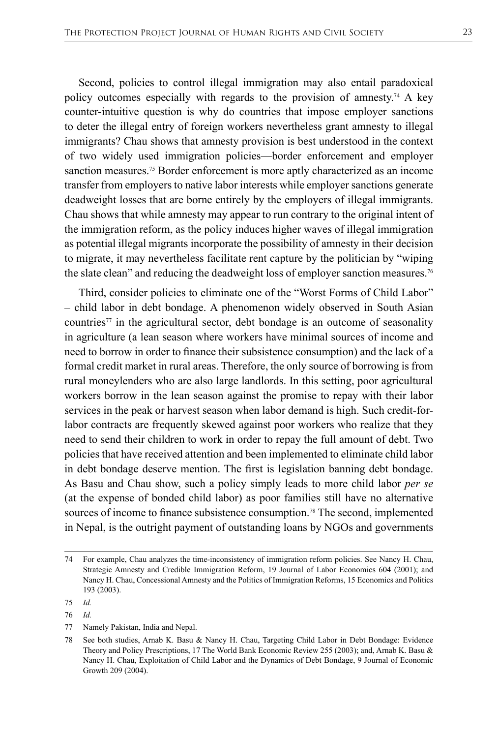Second, policies to control illegal immigration may also entail paradoxical policy outcomes especially with regards to the provision of amnesty.<sup>74</sup> A key counter-intuitive question is why do countries that impose employer sanctions to deter the illegal entry of foreign workers nevertheless grant amnesty to illegal immigrants? Chau shows that amnesty provision is best understood in the context of two widely used immigration policies—border enforcement and employer sanction measures.75 Border enforcement is more aptly characterized as an income transfer from employers to native labor interests while employer sanctions generate deadweight losses that are borne entirely by the employers of illegal immigrants. Chau shows that while amnesty may appear to run contrary to the original intent of the immigration reform, as the policy induces higher waves of illegal immigration as potential illegal migrants incorporate the possibility of amnesty in their decision to migrate, it may nevertheless facilitate rent capture by the politician by "wiping the slate clean" and reducing the deadweight loss of employer sanction measures.<sup>76</sup>

Third, consider policies to eliminate one of the "Worst Forms of Child Labor" – child labor in debt bondage. A phenomenon widely observed in South Asian countries<sup> $77$ </sup> in the agricultural sector, debt bondage is an outcome of seasonality in agriculture (a lean season where workers have minimal sources of income and need to borrow in order to finance their subsistence consumption) and the lack of a formal credit market in rural areas. Therefore, the only source of borrowing is from rural moneylenders who are also large landlords. In this setting, poor agricultural workers borrow in the lean season against the promise to repay with their labor services in the peak or harvest season when labor demand is high. Such credit-forlabor contracts are frequently skewed against poor workers who realize that they need to send their children to work in order to repay the full amount of debt. Two policies that have received attention and been implemented to eliminate child labor in debt bondage deserve mention. The first is legislation banning debt bondage. As Basu and Chau show, such a policy simply leads to more child labor *per se* (at the expense of bonded child labor) as poor families still have no alternative sources of income to finance subsistence consumption.<sup>78</sup> The second, implemented in Nepal, is the outright payment of outstanding loans by NGOs and governments

<sup>74</sup> For example, Chau analyzes the time-inconsistency of immigration reform policies. See Nancy H. Chau, Strategic Amnesty and Credible Immigration Reform, 19 Journal of Labor Economics 604 (2001); and Nancy H. Chau, Concessional Amnesty and the Politics of Immigration Reforms, 15 Economics and Politics 193 (2003).

<sup>75</sup> *Id.*

<sup>76</sup> *Id.*

<sup>77</sup> Namely Pakistan, India and Nepal.

<sup>78</sup> See both studies, Arnab K. Basu & Nancy H. Chau, Targeting Child Labor in Debt Bondage: Evidence Theory and Policy Prescriptions, 17 The World Bank Economic Review 255 (2003); and, Arnab K. Basu & Nancy H. Chau, Exploitation of Child Labor and the Dynamics of Debt Bondage, 9 Journal of Economic Growth 209 (2004).